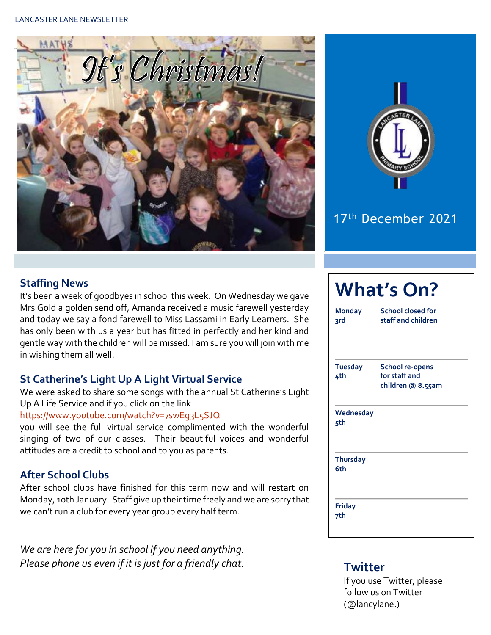



### 17th December 2021

### **Staffing News**

It's been a week of goodbyes in school this week. On Wednesday we gave Mrs Gold a golden send off, Amanda received a music farewell yesterday and today we say a fond farewell to Miss Lassami in Early Learners. She has only been with us a year but has fitted in perfectly and her kind and gentle way with the children will be missed. I am sure you will join with me in wishing them all well.

#### **St Catherine's Light Up A Light Virtual Service**

We were asked to share some songs with the annual St Catherine's Light Up A Life Service and if you click on the link

#### <https://www.youtube.com/watch?v=7swEg3L5SJQ>

you will see the full virtual service complimented with the wonderful singing of two of our classes. Their beautiful voices and wonderful attitudes are a credit to school and to you as parents.

#### **After School Clubs**

After school clubs have finished for this term now and will restart on Monday, 10th January. Staff give up their time freely and we are sorry that we can't run a club for every year group every half term.

*We are here for you in school if you need anything. Please phone us even if it is just for a friendly chat.* **Twitter** 

# **What's On?**

| <b>Monday</b><br>२rd   | School closed for<br>staff and children                      |  |  |  |  |
|------------------------|--------------------------------------------------------------|--|--|--|--|
| <b>Tuesday</b><br>4th  | <b>School re-opens</b><br>for staff and<br>children @ 8.55am |  |  |  |  |
| Wednesday<br>5th       |                                                              |  |  |  |  |
| <b>Thursday</b><br>6th |                                                              |  |  |  |  |
| <b>Friday</b><br>7th   |                                                              |  |  |  |  |

If you use Twitter, please follow us on Twitter (@lancylane.)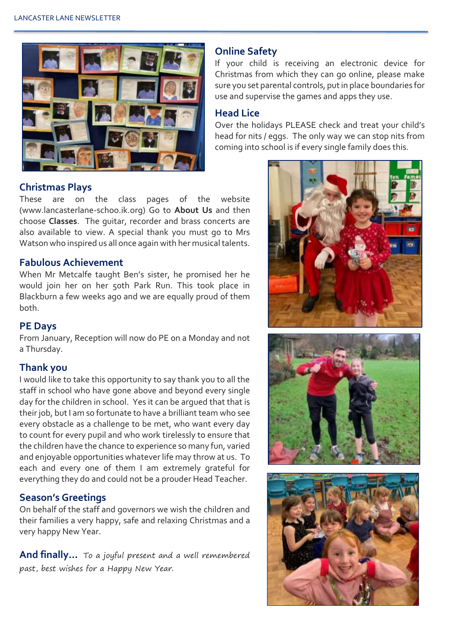

#### **Christmas Plays**

These are on the class pages of the website (www.lancasterlane-schoo.ik.org) Go to **About Us** and then choose **Classes**. The guitar, recorder and brass concerts are also available to view. A special thank you must go to Mrs Watson who inspired us all once again with her musical talents.

#### **Fabulous Achievement**

When Mr Metcalfe taught Ben's sister, he promised her he would join her on her 50th Park Run. This took place in Blackburn a few weeks ago and we are equally proud of them both.

#### **PE Days**

From January, Reception will now do PE on a Monday and not a Thursday.

#### **Thank you**

I would like to take this opportunity to say thank you to all the staff in school who have gone above and beyond every single day for the children in school. Yes it can be argued that that is their job, but I am so fortunate to have a brilliant team who see every obstacle as a challenge to be met, who want every day to count for every pupil and who work tirelessly to ensure that the children have the chance to experience so many fun, varied and enjoyable opportunities whatever life may throw at us. To each and every one of them I am extremely grateful for everything they do and could not be a prouder Head Teacher.

#### **Season's Greetings**

On behalf of the staff and governors we wish the children and their families a very happy, safe and relaxing Christmas and a very happy New Year.

**And finally…** To a joyful present and a well remembered past, best wishes for a Happy New Year.

#### **Online Safety**

If your child is receiving an electronic device for Christmas from which they can go online, please make sure you set parental controls, put in place boundaries for use and supervise the games and apps they use.

#### **Head Lice**

Over the holidays PLEASE check and treat your child's head for nits / eggs. The only way we can stop nits from coming into school is if every single family does this.